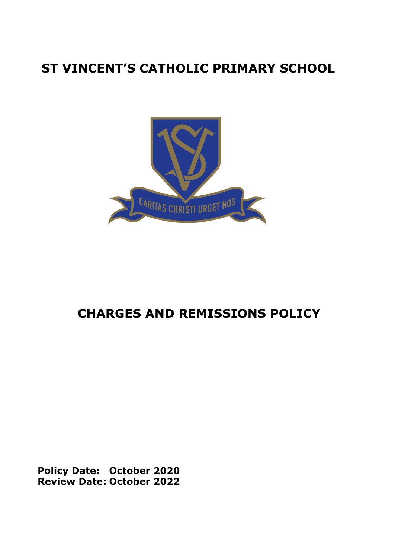# **ST VINCENT'S CATHOLIC PRIMARY SCHOOL**



# **CHARGES AND REMISSIONS POLICY**

**Policy Date: October 2020 Review Date: October 2022**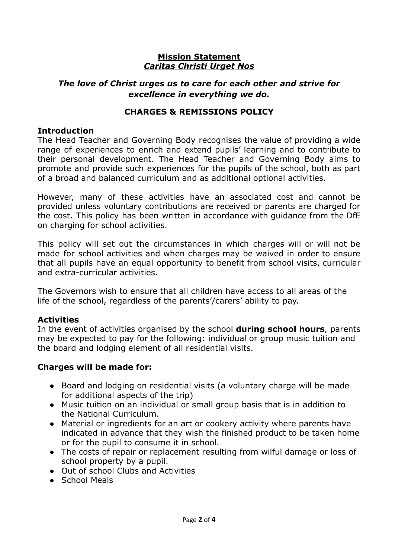#### **Mission Statement** *Caritas Christi Urget Nos*

# *The love of Christ urges us to care for each other and strive for excellence in everything we do.*

## **CHARGES & REMISSIONS POLICY**

#### **Introduction**

The Head Teacher and Governing Body recognises the value of providing a wide range of experiences to enrich and extend pupils' learning and to contribute to their personal development. The Head Teacher and Governing Body aims to promote and provide such experiences for the pupils of the school, both as part of a broad and balanced curriculum and as additional optional activities.

However, many of these activities have an associated cost and cannot be provided unless voluntary contributions are received or parents are charged for the cost. This policy has been written in accordance with guidance from the DfE on charging for school activities.

This policy will set out the circumstances in which charges will or will not be made for school activities and when charges may be waived in order to ensure that all pupils have an equal opportunity to benefit from school visits, curricular and extra-curricular activities.

The Governors wish to ensure that all children have access to all areas of the life of the school, regardless of the parents'/carers' ability to pay.

## **Activities**

In the event of activities organised by the school **during school hours**, parents may be expected to pay for the following: individual or group music tuition and the board and lodging element of all residential visits.

## **Charges will be made for:**

- Board and lodging on residential visits (a voluntary charge will be made for additional aspects of the trip)
- Music tuition on an individual or small group basis that is in addition to the National Curriculum.
- Material or ingredients for an art or cookery activity where parents have indicated in advance that they wish the finished product to be taken home or for the pupil to consume it in school.
- The costs of repair or replacement resulting from wilful damage or loss of school property by a pupil.
- Out of school Clubs and Activities
- School Meals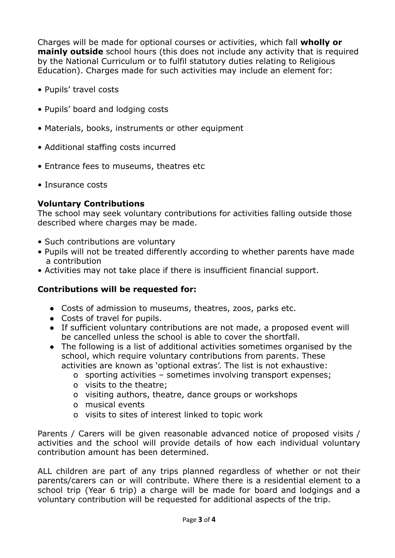Charges will be made for optional courses or activities, which fall **wholly or mainly outside** school hours (this does not include any activity that is required by the National Curriculum or to fulfil statutory duties relating to Religious Education). Charges made for such activities may include an element for:

- Pupils' travel costs
- Pupils' board and lodging costs
- Materials, books, instruments or other equipment
- Additional staffing costs incurred
- Entrance fees to museums, theatres etc
- Insurance costs

# **Voluntary Contributions**

The school may seek voluntary contributions for activities falling outside those described where charges may be made.

- Such contributions are voluntary
- Pupils will not be treated differently according to whether parents have made a contribution
- Activities may not take place if there is insufficient financial support.

# **Contributions will be requested for:**

- Costs of admission to museums, theatres, zoos, parks etc.
- Costs of travel for pupils.
- If sufficient voluntary contributions are not made, a proposed event will be cancelled unless the school is able to cover the shortfall.
- The following is a list of additional activities sometimes organised by the school, which require voluntary contributions from parents. These activities are known as 'optional extras'. The list is not exhaustive:
	- o sporting activities sometimes involving transport expenses;
	- o visits to the theatre;
	- o visiting authors, theatre, dance groups or workshops
	- o musical events
	- o visits to sites of interest linked to topic work

Parents / Carers will be given reasonable advanced notice of proposed visits / activities and the school will provide details of how each individual voluntary contribution amount has been determined.

ALL children are part of any trips planned regardless of whether or not their parents/carers can or will contribute. Where there is a residential element to a school trip (Year 6 trip) a charge will be made for board and lodgings and a voluntary contribution will be requested for additional aspects of the trip.